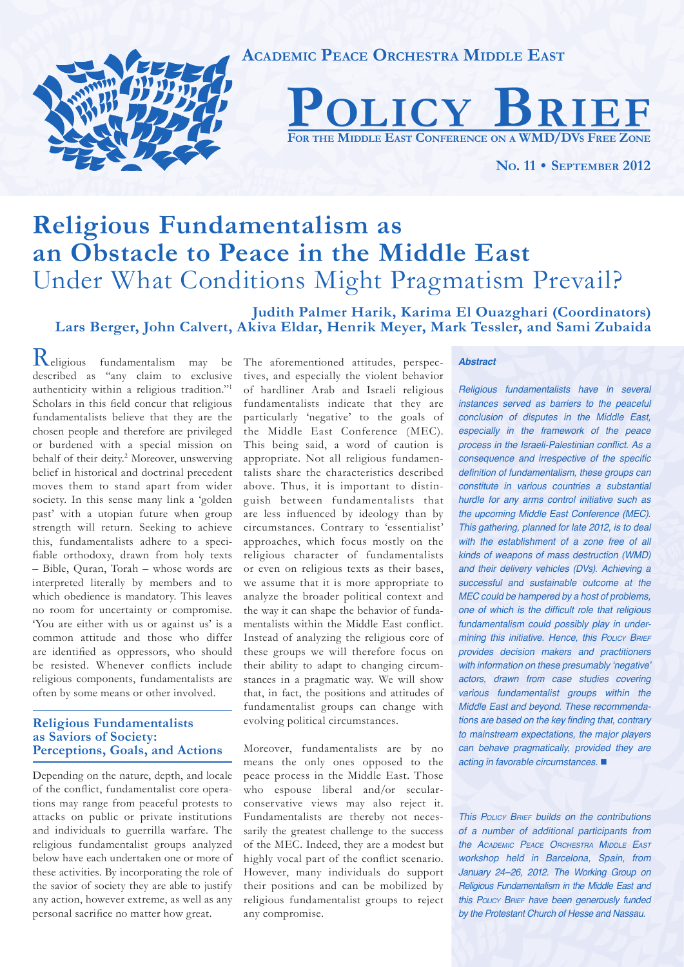

# **Religious Fundamentalism as an Obstacle to Peace in the Middle East**  Under What Conditions Might Pragmatism Prevail?

**Judith Palmer Harik, Karima El Ouazghari (Coordinators) Lars Berger, John Calvert, Akiva Eldar, Henrik Meyer, Mark Tessler, and Sami Zubaida**

Religious fundamentalism may be described as "any claim to exclusive authenticity within a religious tradition."1 Scholars in this field concur that religious fundamentalists believe that they are the chosen people and therefore are privileged or burdened with a special mission on behalf of their deity.<sup>2</sup> Moreover, unswerving belief in historical and doctrinal precedent moves them to stand apart from wider society. In this sense many link a 'golden past' with a utopian future when group strength will return. Seeking to achieve this, fundamentalists adhere to a specifiable orthodoxy, drawn from holy texts – Bible, Quran, Torah – whose words are interpreted literally by members and to which obedience is mandatory. This leaves no room for uncertainty or compromise. 'You are either with us or against us' is a common attitude and those who differ are identified as oppressors, who should be resisted. Whenever conflicts include religious components, fundamentalists are often by some means or other involved.

#### **Religious Fundamentalists as Saviors of Society: Perceptions, Goals, and Actions**

Depending on the nature, depth, and locale of the conflict, fundamentalist core operations may range from peaceful protests to attacks on public or private institutions and individuals to guerrilla warfare. The religious fundamentalist groups analyzed below have each undertaken one or more of these activities. By incorporating the role of the savior of society they are able to justify any action, however extreme, as well as any personal sacrifice no matter how great.

The aforementioned attitudes, perspectives, and especially the violent behavior of hardliner Arab and Israeli religious fundamentalists indicate that they are particularly 'negative' to the goals of the Middle East Conference (MEC). This being said, a word of caution is appropriate. Not all religious fundamentalists share the characteristics described above. Thus, it is important to distinguish between fundamentalists that are less influenced by ideology than by circumstances. Contrary to 'essentialist' approaches, which focus mostly on the religious character of fundamentalists or even on religious texts as their bases, we assume that it is more appropriate to analyze the broader political context and the way it can shape the behavior of fundamentalists within the Middle East conflict. Instead of analyzing the religious core of these groups we will therefore focus on their ability to adapt to changing circumstances in a pragmatic way. We will show that, in fact, the positions and attitudes of fundamentalist groups can change with evolving political circumstances.

Moreover, fundamentalists are by no means the only ones opposed to the peace process in the Middle East. Those who espouse liberal and/or secularconservative views may also reject it. Fundamentalists are thereby not necessarily the greatest challenge to the success of the MEC. Indeed, they are a modest but highly vocal part of the conflict scenario. However, many individuals do support their positions and can be mobilized by religious fundamentalist groups to reject any compromise.

#### *Abstract*

*Religious fundamentalists have in several instances served as barriers to the peaceful conclusion of disputes in the Middle East, especially in the framework of the peace*  process in the Israeli-Palestinian conflict. As a consequence and irrespective of the specific definition of fundamentalism, these groups can *constitute in various countries a substantial hurdle for any arms control initiative such as*  the upcoming Middle East Conference (MEC). *This gathering, planned for late 2012, is to deal with the establishment of a zone free of all kinds of weapons of mass destruction (WMD)*  and their delivery vehicles (DVs). Achieving a *successful and sustainable outcome at the MEC could be hampered by a host of problems,*  one of which is the difficult role that religious *fundamentalism could possibly play in under*mining this initiative. Hence, this *POLICY BRIEF provides decision makers and practitioners*  with information on these presumably 'negative' *actors, drawn from case studies covering various fundamentalist groups within the*  Middle East and beyond. These recommendations are based on the key finding that, contrary *to mainstream expectations, the major players can behave pragmatically, provided they are*  acting in favorable circumstances.  $\blacksquare$ 

*This POLICY BRIEF builds on the contributions of a number of additional participants from the ACADEMIC PEACE ORCHESTRA MIDDLE EAST workshop held in Barcelona, Spain, from*  January 24–26, 2012. The Working Group on *Religious Fundamentalism in the Middle East and this POLICY BRIEF have been generously funded*  by the Protestant Church of Hesse and Nassau.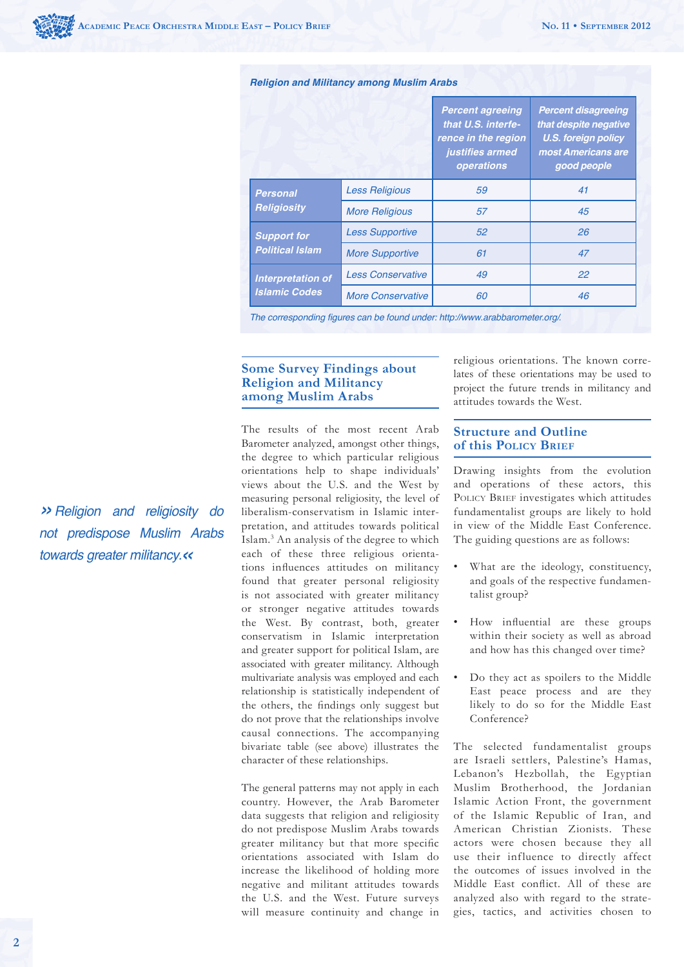#### *Religion and Militancy among Muslim Arabs*

|                                                  |                          | <b>Percent agreeing</b><br>that U.S. interfe-<br>rence in the region<br>justifies armed<br>operations | <b>Percent disagreeing</b><br>that despite negative<br><b>U.S. foreign policy</b><br>most Americans are<br>good people |
|--------------------------------------------------|--------------------------|-------------------------------------------------------------------------------------------------------|------------------------------------------------------------------------------------------------------------------------|
| <b>Personal</b><br><b>Religiosity</b>            | <b>Less Religious</b>    | 59                                                                                                    | 41                                                                                                                     |
|                                                  | <b>More Religious</b>    | 57                                                                                                    | 45                                                                                                                     |
| <b>Support for</b><br><b>Political Islam</b>     | <b>Less Supportive</b>   | 52                                                                                                    | 26                                                                                                                     |
|                                                  | <b>More Supportive</b>   | 61                                                                                                    | 47                                                                                                                     |
| <b>Interpretation of</b><br><b>Islamic Codes</b> | <b>Less Conservative</b> | 49                                                                                                    | 22                                                                                                                     |
|                                                  | <b>More Conservative</b> | 60                                                                                                    | 46                                                                                                                     |

The corresponding figures can be found under: http://www.arabbarometer.org/.

#### **Some Survey Findings about Religion and Militancy among Muslim Arabs**

The results of the most recent Arab Barometer analyzed, amongst other things, the degree to which particular religious orientations help to shape individuals' views about the U.S. and the West by measuring personal religiosity, the level of liberalism-conservatism in Islamic interpretation, and attitudes towards political Islam.3 An analysis of the degree to which each of these three religious orientations influences attitudes on militancy found that greater personal religiosity is not associated with greater militancy or stronger negative attitudes towards the West. By contrast, both, greater conservatism in Islamic interpretation and greater support for political Islam, are associated with greater militancy. Although multivariate analysis was employed and each relationship is statistically independent of the others, the findings only suggest but do not prove that the relationships involve causal connections. The accompanying bivariate table (see above) illustrates the character of these relationships.

The general patterns may not apply in each country. However, the Arab Barometer data suggests that religion and religiosity do not predispose Muslim Arabs towards greater militancy but that more specific orientations associated with Islam do increase the likelihood of holding more negative and militant attitudes towards the U.S. and the West. Future surveys will measure continuity and change in

religious orientations. The known correlates of these orientations may be used to project the future trends in militancy and attitudes towards the West.

## **Structure and Outline of this POLICY BRIEF**

Drawing insights from the evolution and operations of these actors, this POLICY BRIEF investigates which attitudes fundamentalist groups are likely to hold in view of the Middle East Conference. The guiding questions are as follows:

- What are the ideology, constituency, and goals of the respective fundamentalist group?
- How influential are these groups within their society as well as abroad and how has this changed over time?
- Do they act as spoilers to the Middle East peace process and are they likely to do so for the Middle East Conference?

The selected fundamentalist groups are Israeli settlers, Palestine's Hamas, Lebanon's Hezbollah, the Egyptian Muslim Brotherhood, the Jordanian Islamic Action Front, the government of the Islamic Republic of Iran, and American Christian Zionists. These actors were chosen because they all use their influence to directly affect the outcomes of issues involved in the Middle East conflict. All of these are analyzed also with regard to the strategies, tactics, and activities chosen to

*»Religion and religiosity do*  not predispose Muslim Arabs *towards greater militanc*y.*«*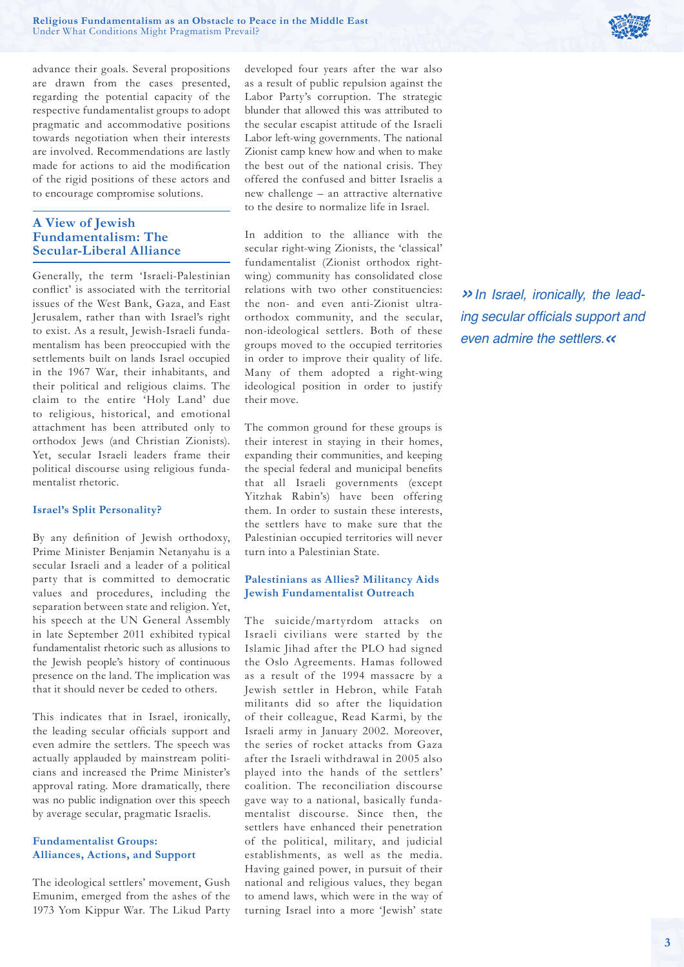

advance their goals. Several propositions are drawn from the cases presented, regarding the potential capacity of the respective fundamentalist groups to adopt pragmatic and accommodative positions towards negotiation when their interests are involved. Recommendations are lastly made for actions to aid the modification of the rigid positions of these actors and to encourage compromise solutions.

## **A View of Jewish Fundamentalism: The Secular-Liberal Alliance**

Generally, the term 'Israeli-Palestinian conflict' is associated with the territorial issues of the West Bank, Gaza, and East Jerusalem, rather than with Israel's right to exist. As a result, Jewish-Israeli fundamentalism has been preoccupied with the settlements built on lands Israel occupied in the 1967 War, their inhabitants, and their political and religious claims. The claim to the entire 'Holy Land' due to religious, historical, and emotional attachment has been attributed only to orthodox Jews (and Christian Zionists). Yet, secular Israeli leaders frame their political discourse using religious fundamentalist rhetoric.

#### **Israel's Split Personality?**

By any definition of Jewish orthodoxy, Prime Minister Benjamin Netanyahu is a secular Israeli and a leader of a political party that is committed to democratic values and procedures, including the separation between state and religion. Yet, his speech at the UN General Assembly in late September 2011 exhibited typical fundamentalist rhetoric such as allusions to the Jewish people's history of continuous presence on the land. The implication was that it should never be ceded to others.

This indicates that in Israel, ironically, the leading secular officials support and even admire the settlers. The speech was actually applauded by mainstream politicians and increased the Prime Minister's approval rating. More dramatically, there was no public indignation over this speech by average secular, pragmatic Israelis.

#### **Fundamentalist Groups: Alliances, Actions, and Support**

The ideological settlers' movement, Gush Emunim, emerged from the ashes of the 1973 Yom Kippur War. The Likud Party developed four years after the war also as a result of public repulsion against the Labor Party's corruption. The strategic blunder that allowed this was attributed to the secular escapist attitude of the Israeli Labor left-wing governments. The national Zionist camp knew how and when to make the best out of the national crisis. They offered the confused and bitter Israelis a new challenge – an attractive alternative to the desire to normalize life in Israel.

In addition to the alliance with the secular right-wing Zionists, the 'classical' fundamentalist (Zionist orthodox rightwing) community has consolidated close relations with two other constituencies: the non- and even anti-Zionist ultraorthodox community, and the secular, non-ideological settlers. Both of these groups moved to the occupied territories in order to improve their quality of life. Many of them adopted a right-wing ideological position in order to justify their move.

The common ground for these groups is their interest in staying in their homes, expanding their communities, and keeping the special federal and municipal benefits that all Israeli governments (except Yitzhak Rabin's) have been offering them. In order to sustain these interests, the settlers have to make sure that the Palestinian occupied territories will never turn into a Palestinian State.

#### **Palestinians as Allies? Militancy Aids Jewish Fundamentalist Outreach**

The suicide/martyrdom attacks on Israeli civilians were started by the Islamic Jihad after the PLO had signed the Oslo Agreements. Hamas followed as a result of the 1994 massacre by a Jewish settler in Hebron, while Fatah militants did so after the liquidation of their colleague, Read Karmi, by the Israeli army in January 2002. Moreover, the series of rocket attacks from Gaza after the Israeli withdrawal in 2005 also played into the hands of the settlers' coalition. The reconciliation discourse gave way to a national, basically fundamentalist discourse. Since then, the settlers have enhanced their penetration of the political, military, and judicial establishments, as well as the media. Having gained power, in pursuit of their national and religious values, they began to amend laws, which were in the way of turning Israel into a more 'Jewish' state

*»In Israel, ironically, the lead*ing secular officials support and *even admire the settlers*.*«*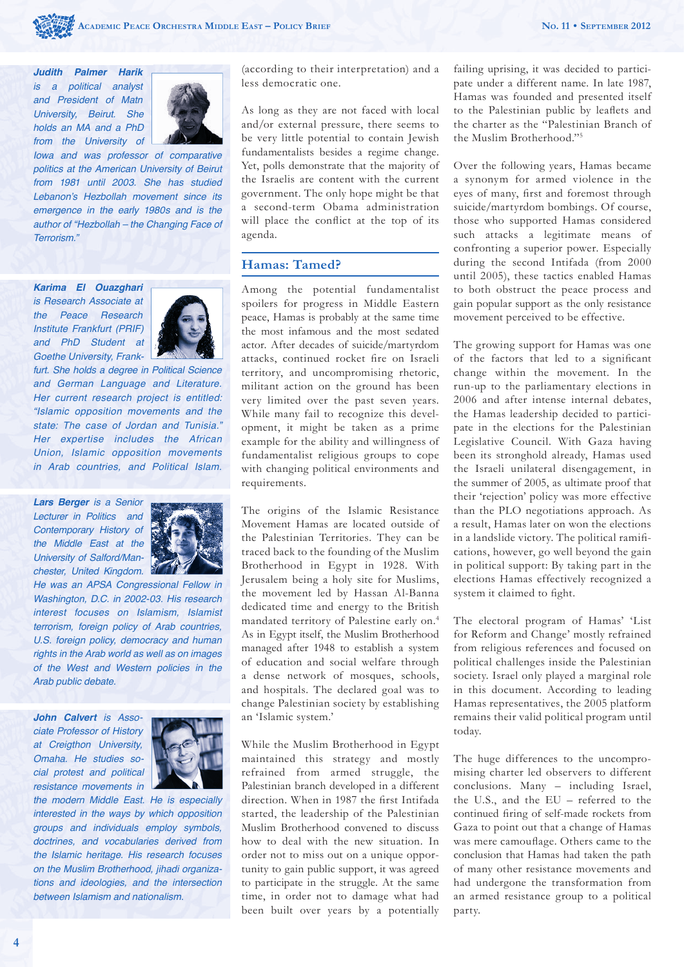*Judith Palmer Harik is a political analyst and President of Matn*  University, Beirut. She holds an MA and a PhD *from the University of* 



*Iowa and was professor of comparative*  politics at the American University of Beirut from 1981 until 2003. She has studied Lebanon's Hezbollah movement since its *emergence in the early 1980s and is the*  author of "Hezbollah – the Changing Face of Terrorism."

*Karima El Ouazghari* is Research Associate at *the Peace Research Institute Frankfurt (PRIF) and PhD Student at*  Goethe University, Frank-



furt. She holds a degree in Political Science and German Language and Literature. Her current research project is entitled: *"Islamic opposition movements and the*  state: The case of Jordan and Tunisia." Her expertise includes the African *Union, Islamic opposition movements*  in Arab countries, and Political Islam.

**Lars Berger** *is a Senior Lecturer in Politics and*  Contemporary History of *the Middle East at the*  University of Salford/Manchester, United Kingdom.



He was an APSA Congressional Fellow in Washington, D.C. in 2002-03. His research *interest focuses on Islamism, Islamist*  terrorism, foreign policy of Arab countries, U.S. foreign policy, democracy and human rights in the Arab world as well as on images *of the West and Western policies in the*  Arab public debate.

*John Calvert* is Associate Professor of History *at Creigthon University,*  Omaha. He studies so*cial protest and political resistance movements in* 



the modern Middle East. He is especially *interested in the ways by which opposition groups and individuals employ symbols, doctrines, and vocabularies derived from*  the Islamic heritage. His research focuses *on the Muslim Brotherhood, jihadi organizations and ideologies, and the intersection*  between Islamism and nationalism.

(according to their interpretation) and a less democratic one.

As long as they are not faced with local and/or external pressure, there seems to be very little potential to contain Jewish fundamentalists besides a regime change. Yet, polls demonstrate that the majority of the Israelis are content with the current government. The only hope might be that a second-term Obama administration will place the conflict at the top of its agenda.

# **Hamas: Tamed?**

Among the potential fundamentalist spoilers for progress in Middle Eastern peace, Hamas is probably at the same time the most infamous and the most sedated actor. After decades of suicide/martyrdom attacks, continued rocket fire on Israeli territory, and uncompromising rhetoric, militant action on the ground has been very limited over the past seven years. While many fail to recognize this development, it might be taken as a prime example for the ability and willingness of fundamentalist religious groups to cope with changing political environments and requirements.

The origins of the Islamic Resistance Movement Hamas are located outside of the Palestinian Territories. They can be traced back to the founding of the Muslim Brotherhood in Egypt in 1928. With Jerusalem being a holy site for Muslims, the movement led by Hassan Al-Banna dedicated time and energy to the British mandated territory of Palestine early on.4 As in Egypt itself, the Muslim Brotherhood managed after 1948 to establish a system of education and social welfare through a dense network of mosques, schools, and hospitals. The declared goal was to change Palestinian society by establishing an 'Islamic system.'

While the Muslim Brotherhood in Egypt maintained this strategy and mostly refrained from armed struggle, the Palestinian branch developed in a different direction. When in 1987 the first Intifada started, the leadership of the Palestinian Muslim Brotherhood convened to discuss how to deal with the new situation. In order not to miss out on a unique opportunity to gain public support, it was agreed to participate in the struggle. At the same time, in order not to damage what had been built over years by a potentially

failing uprising, it was decided to participate under a different name. In late 1987, Hamas was founded and presented itself to the Palestinian public by leaflets and the charter as the "Palestinian Branch of the Muslim Brotherhood."<sup>5</sup>

Over the following years, Hamas became a synonym for armed violence in the eyes of many, first and foremost through suicide/martyrdom bombings. Of course, those who supported Hamas considered such attacks a legitimate means of confronting a superior power. Especially during the second Intifada (from 2000 until 2005), these tactics enabled Hamas to both obstruct the peace process and gain popular support as the only resistance movement perceived to be effective.

The growing support for Hamas was one of the factors that led to a significant change within the movement. In the run-up to the parliamentary elections in 2006 and after intense internal debates, the Hamas leadership decided to participate in the elections for the Palestinian Legislative Council. With Gaza having been its stronghold already, Hamas used the Israeli unilateral disengagement, in the summer of 2005, as ultimate proof that their 'rejection' policy was more effective than the PLO negotiations approach. As a result, Hamas later on won the elections in a landslide victory. The political ramifications, however, go well beyond the gain in political support: By taking part in the elections Hamas effectively recognized a system it claimed to fight.

The electoral program of Hamas' 'List for Reform and Change' mostly refrained from religious references and focused on political challenges inside the Palestinian society. Israel only played a marginal role in this document. According to leading Hamas representatives, the 2005 platform remains their valid political program until today.

The huge differences to the uncompromising charter led observers to different conclusions. Many – including Israel, the U.S., and the EU – referred to the continued firing of self-made rockets from Gaza to point out that a change of Hamas was mere camouflage. Others came to the conclusion that Hamas had taken the path of many other resistance movements and had undergone the transformation from an armed resistance group to a political party.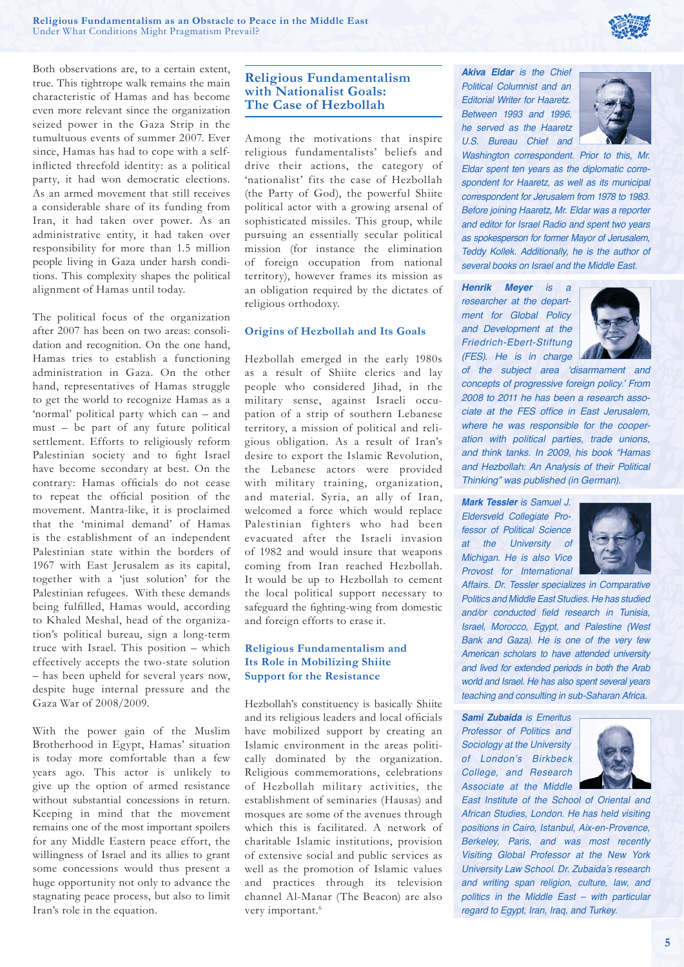Both observations are, to a certain extent, true. This tightrope walk remains the main characteristic of Hamas and has become even more relevant since the organization seized power in the Gaza Strip in the tumultuous events of summer 2007. Ever since, Hamas has had to cope with a selfinflicted threefold identity: as a political party, it had won democratic elections. As an armed movement that still receives a considerable share of its funding from Iran, it had taken over power. As an administrative entity, it had taken over responsibility for more than 1.5 million people living in Gaza under harsh conditions. This complexity shapes the political alignment of Hamas until today.

The political focus of the organization after 2007 has been on two areas: consolidation and recognition. On the one hand, Hamas tries to establish a functioning administration in Gaza. On the other hand, representatives of Hamas struggle to get the world to recognize Hamas as a 'normal' political party which can – and must – be part of any future political settlement. Efforts to religiously reform Palestinian society and to fight Israel have become secondary at best. On the contrary: Hamas officials do not cease to repeat the official position of the movement. Mantra-like, it is proclaimed that the 'minimal demand' of Hamas is the establishment of an independent Palestinian state within the borders of 1967 with East Jerusalem as its capital, together with a 'just solution' for the Palestinian refugees. With these demands being fulfilled, Hamas would, according to Khaled Meshal, head of the organization's political bureau, sign a long-term truce with Israel. This position – which effectively accepts the two-state solution – has been upheld for several years now, despite huge internal pressure and the Gaza War of 2008/2009.

With the power gain of the Muslim Brotherhood in Egypt, Hamas' situation is today more comfortable than a few years ago. This actor is unlikely to give up the option of armed resistance without substantial concessions in return. Keeping in mind that the movement remains one of the most important spoilers for any Middle Eastern peace effort, the willingness of Israel and its allies to grant some concessions would thus present a huge opportunity not only to advance the stagnating peace process, but also to limit Iran's role in the equation.

## **Religious Fundamentalism with Nationalist Goals: The Case of Hezbollah**

Among the motivations that inspire religious fundamentalists' beliefs and drive their actions, the category of 'nationalist' fits the case of Hezbollah (the Party of God), the powerful Shiite political actor with a growing arsenal of sophisticated missiles. This group, while pursuing an essentially secular political mission (for instance the elimination of foreign occupation from national territory), however frames its mission as an obligation required by the dictates of religious orthodoxy.

#### **Origins of Hezbollah and Its Goals**

Hezbollah emerged in the early 1980s as a result of Shiite clerics and lay people who considered Jihad, in the military sense, against Israeli occupation of a strip of southern Lebanese territory, a mission of political and religious obligation. As a result of Iran's desire to export the Islamic Revolution, the Lebanese actors were provided with military training, organization, and material. Syria, an ally of Iran, welcomed a force which would replace Palestinian fighters who had been evacuated after the Israeli invasion of 1982 and would insure that weapons coming from Iran reached Hezbollah. It would be up to Hezbollah to cement the local political support necessary to safeguard the fighting-wing from domestic and foreign efforts to erase it.

## **Religious Fundamentalism and Its Role in Mobilizing Shiite Support for the Resistance**

Hezbollah's constituency is basically Shiite and its religious leaders and local officials have mobilized support by creating an Islamic environment in the areas politically dominated by the organization. Religious commemorations, celebrations of Hezbollah military activities, the establishment of seminaries (Hausas) and mosques are some of the avenues through which this is facilitated. A network of charitable Islamic institutions, provision of extensive social and public services as well as the promotion of Islamic values and practices through its television channel Al-Manar (The Beacon) are also very important.<sup>6</sup>

*Akiva Eldar is the Chief Political Columnist and an*  Editorial Writer for Haaretz. *Between 1993 and 1996,*  he served as the Haaretz U.S. Bureau Chief and



Washington correspondent. Prior to this, Mr. *Eldar spent ten years as the diplomatic corre*spondent for Haaretz, as well as its municipal correspondent for Jerusalem from 1978 to 1983. Before joining Haaretz, Mr. Eldar was a reporter *and editor for Israel Radio and spent two years as spokesperson for former Mayor of Jerusalem,*  Teddy Kollek. Additionally, he is the author of several books on Israel and the Middle East.

*Henrik Meyer is a researcher at the depart*ment for Global Policy *and Development at the Friedrich-Ebert-Stiftung*  (FES). He is in charge



of the subject area 'disarmament and concepts of progressive foreign policy.' From *2008 to 2011 he has been a research asso*ciate at the FES office in East Jerusalem, *where he was responsible for the cooperation with political parties, trade unions,*  and think tanks. In 2009, his book "Hamas and Hezbollah: An Analysis of their Political Thinking" was published (in German).

*Mark Tessler* is Samuel J. *Eldersveld Collegiate Professor of Political Science at the University of*  Michigan. He is also Vice *Provost for International* 



Affairs. Dr. Tessler specializes in Comparative Politics and Middle East Studies. He has studied and/or conducted field research in Tunisia. *Israel, Morocco, Egypt, and Palestine (West*  Bank and Gaza). He is one of the very few American scholars to have attended university and lived for extended periods in both the Arab world and Israel. He has also spent several years teaching and consulting in sub-Saharan Africa.

*Sami Zubaida is Emeritus Professor of Politics and Sociology at the University*  of London's Birkbeck *College, and Research*  Associate at the Middle



*East Institute of the School of Oriental and*  African Studies, London. He has held visiting positions in Cairo, Istanbul, Aix-en-Provence, *Berkeley, Paris, and was most recently*  Visiting Global Professor at the New York University Law School. Dr. Zubaida's research *and writing span religion, culture, law, and politics in the Middle East – with particular*  regard to Egypt, Iran, Iraq, and Turkey.

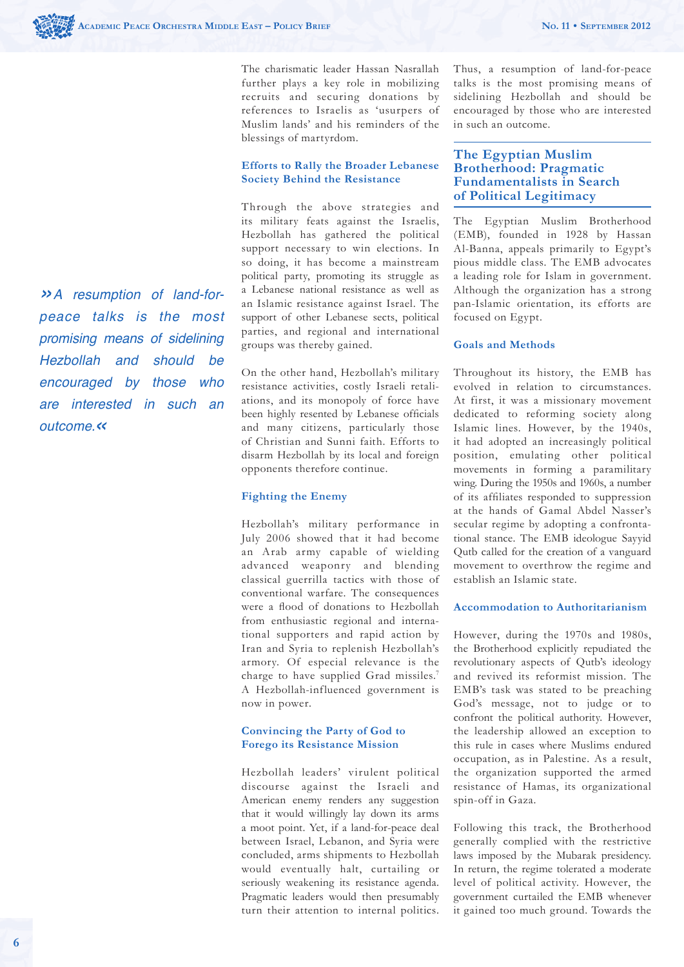*»*A resumption of land-for*peace talks is the most promising means of sidelining*  Hezbollah and should be *encouraged by those who are interested in such an outcome*.*«*

The charismatic leader Hassan Nasrallah further plays a key role in mobilizing recruits and securing donations by references to Israelis as 'usurpers of Muslim lands' and his reminders of the blessings of martyrdom.

#### **Efforts to Rally the Broader Lebanese Society Behind the Resistance**

Through the above strategies and its military feats against the Israelis, Hezbollah has gathered the political support necessary to win elections. In so doing, it has become a mainstream political party, promoting its struggle as a Lebanese national resistance as well as an Islamic resistance against Israel. The support of other Lebanese sects, political parties, and regional and international groups was thereby gained.

On the other hand, Hezbollah's military resistance activities, costly Israeli retaliations, and its monopoly of force have been highly resented by Lebanese officials and many citizens, particularly those of Christian and Sunni faith. Efforts to disarm Hezbollah by its local and foreign opponents therefore continue.

# **Fighting the Enemy**

Hezbollah's military performance in July 2006 showed that it had become an Arab army capable of wielding advanced weaponry and blending classical guerrilla tactics with those of conventional warfare. The consequences were a flood of donations to Hezbollah from enthusiastic regional and international supporters and rapid action by Iran and Syria to replenish Hezbollah's armory. Of especial relevance is the charge to have supplied Grad missiles.7 A Hezbollah-influenced government is now in power.

## **Convincing the Party of God to Forego its Resistance Mission**

Hezbollah leaders' virulent political discourse against the Israeli and American enemy renders any suggestion that it would willingly lay down its arms a moot point. Yet, if a land-for-peace deal between Israel, Lebanon, and Syria were concluded, arms shipments to Hezbollah would eventually halt, curtailing or seriously weakening its resistance agenda. Pragmatic leaders would then presumably turn their attention to internal politics. Thus, a resumption of land-for-peace talks is the most promising means of sidelining Hezbollah and should be encouraged by those who are interested in such an outcome.

#### **The Egyptian Muslim Brotherhood: Pragmatic Fundamentalists in Search of Political Legitimacy**

The Egyptian Muslim Brotherhood (EMB), founded in 1928 by Hassan Al-Banna, appeals primarily to Egypt's pious middle class. The EMB advocates a leading role for Islam in government. Although the organization has a strong pan-Islamic orientation, its efforts are focused on Egypt.

#### **Goals and Methods**

Throughout its history, the EMB has evolved in relation to circumstances. At first, it was a missionary movement dedicated to reforming society along Islamic lines. However, by the 1940s, it had adopted an increasingly political position, emulating other political movements in forming a paramilitary wing. During the 1950s and 1960s, a number of its affiliates responded to suppression at the hands of Gamal Abdel Nasser's secular regime by adopting a confrontational stance. The EMB ideologue Sayyid Qutb called for the creation of a vanguard movement to overthrow the regime and establish an Islamic state.

## **Accommodation to Authoritarianism**

However, during the 1970s and 1980s, the Brotherhood explicitly repudiated the revolutionary aspects of Qutb's ideology and revived its reformist mission. The EMB's task was stated to be preaching God's message, not to judge or to confront the political authority. However, the leadership allowed an exception to this rule in cases where Muslims endured occupation, as in Palestine. As a result, the organization supported the armed resistance of Hamas, its organizational spin-off in Gaza.

Following this track, the Brotherhood generally complied with the restrictive laws imposed by the Mubarak presidency. In return, the regime tolerated a moderate level of political activity. However, the government curtailed the EMB whenever it gained too much ground. Towards the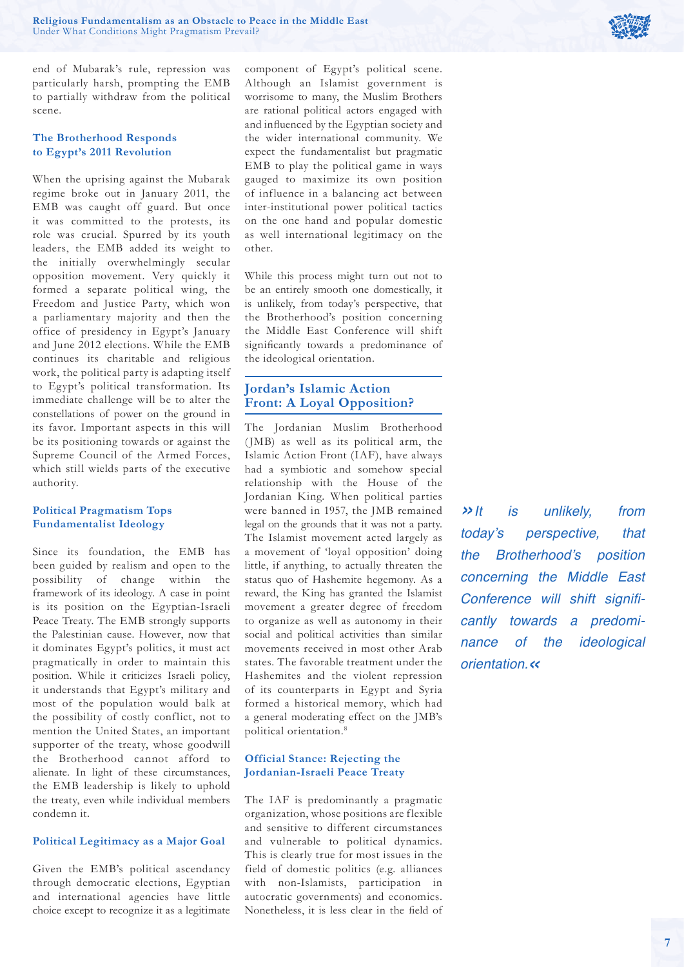

end of Mubarak's rule, repression was particularly harsh, prompting the EMB to partially withdraw from the political scene.

#### **The Brotherhood Responds to Egypt's 2011 Revolution**

When the uprising against the Mubarak regime broke out in January 2011, the EMB was caught off guard. But once it was committed to the protests, its role was crucial. Spurred by its youth leaders, the EMB added its weight to the initially overwhelmingly secular opposition movement. Very quickly it formed a separate political wing, the Freedom and Justice Party, which won a parliamentary majority and then the office of presidency in Egypt's January and June 2012 elections. While the EMB continues its charitable and religious work, the political party is adapting itself to Egypt's political transformation. Its immediate challenge will be to alter the constellations of power on the ground in its favor. Important aspects in this will be its positioning towards or against the Supreme Council of the Armed Forces, which still wields parts of the executive authority.

#### **Political Pragmatism Tops Fundamentalist Ideology**

Since its foundation, the EMB has been guided by realism and open to the possibility of change within the framework of its ideology. A case in point is its position on the Egyptian-Israeli Peace Treaty. The EMB strongly supports the Palestinian cause. However, now that it dominates Egypt's politics, it must act pragmatically in order to maintain this position. While it criticizes Israeli policy, it understands that Egypt's military and most of the population would balk at the possibility of costly conflict, not to mention the United States, an important supporter of the treaty, whose goodwill the Brotherhood cannot afford to alienate. In light of these circumstances, the EMB leadership is likely to uphold the treaty, even while individual members condemn it.

#### **Political Legitimacy as a Major Goal**

Given the EMB's political ascendancy through democratic elections, Egyptian and international agencies have little choice except to recognize it as a legitimate component of Egypt's political scene. Although an Islamist government is worrisome to many, the Muslim Brothers are rational political actors engaged with and influenced by the Egyptian society and the wider international community. We expect the fundamentalist but pragmatic EMB to play the political game in ways gauged to maximize its own position of influence in a balancing act between inter-institutional power political tactics on the one hand and popular domestic as well international legitimacy on the other.

While this process might turn out not to be an entirely smooth one domestically, it is unlikely, from today's perspective, that the Brotherhood's position concerning the Middle East Conference will shift significantly towards a predominance of the ideological orientation.

## **Jordan's Islamic Action Front: A Loyal Opposition?**

The Jordanian Muslim Brotherhood ( JMB) as well as its political arm, the Islamic Action Front (IAF), have always had a symbiotic and somehow special relationship with the House of the Jordanian King. When political parties were banned in 1957, the JMB remained legal on the grounds that it was not a party. The Islamist movement acted largely as a movement of 'loyal opposition' doing little, if anything, to actually threaten the status quo of Hashemite hegemony. As a reward, the King has granted the Islamist movement a greater degree of freedom to organize as well as autonomy in their social and political activities than similar movements received in most other Arab states. The favorable treatment under the Hashemites and the violent repression of its counterparts in Egypt and Syria formed a historical memory, which had a general moderating effect on the JMB's political orientation.<sup>8</sup>

#### **Official Stance: Rejecting the Jordanian-Israeli Peace Treaty**

The IAF is predominantly a pragmatic organization, whose positions are flexible and sensitive to different circumstances and vulnerable to political dynamics. This is clearly true for most issues in the field of domestic politics (e.g. alliances with non-Islamists, participation in autocratic governments) and economics. Nonetheless, it is less clear in the field of

*»It is unlikely, from*  today's perspective, that the Brotherhood's position *concerning the Middle East*  Conference will shift signifi*cantly towards a predominance of the ideological orientation*.*«*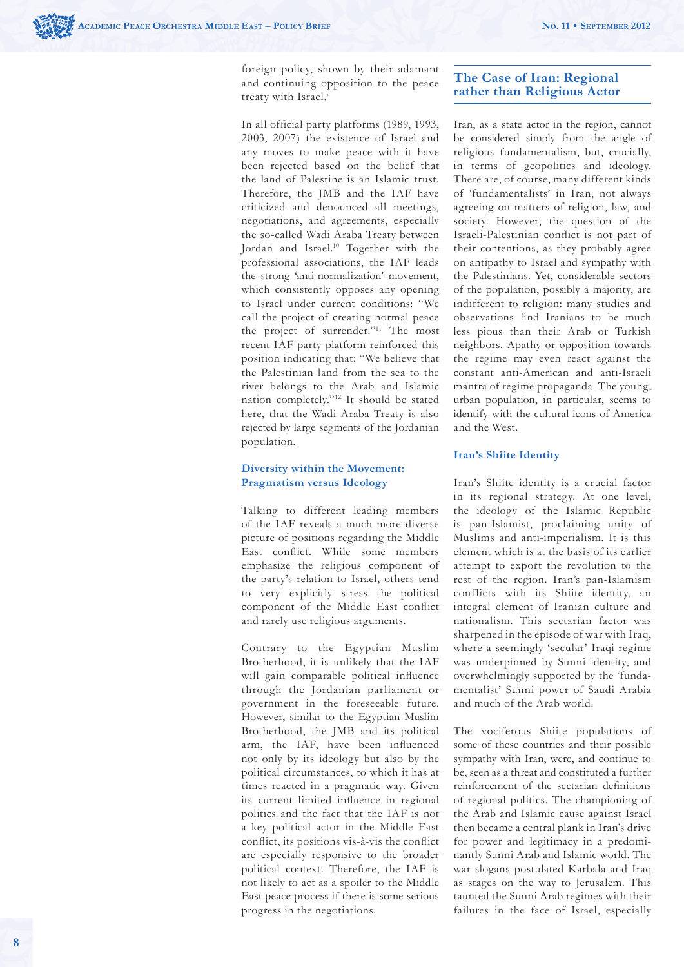foreign policy, shown by their adamant and continuing opposition to the peace treaty with Israel.9

In all official party platforms (1989, 1993, 2003, 2007) the existence of Israel and any moves to make peace with it have been rejected based on the belief that the land of Palestine is an Islamic trust. Therefore, the JMB and the IAF have criticized and denounced all meetings, negotiations, and agreements, especially the so-called Wadi Araba Treaty between Jordan and Israel.10 Together with the professional associations, the IAF leads the strong 'anti-normalization' movement, which consistently opposes any opening to Israel under current conditions: "We call the project of creating normal peace the project of surrender."11 The most recent IAF party platform reinforced this position indicating that: "We believe that the Palestinian land from the sea to the river belongs to the Arab and Islamic nation completely."12 It should be stated here, that the Wadi Araba Treaty is also rejected by large segments of the Jordanian population.

#### **Diversity within the Movement: Pragmatism versus Ideology**

Talking to different leading members of the IAF reveals a much more diverse picture of positions regarding the Middle East conflict. While some members emphasize the religious component of the party's relation to Israel, others tend to very explicitly stress the political component of the Middle East conflict and rarely use religious arguments.

Contrary to the Egyptian Muslim Brotherhood, it is unlikely that the IAF will gain comparable political influence through the Jordanian parliament or government in the foreseeable future. However, similar to the Egyptian Muslim Brotherhood, the JMB and its political arm, the IAF, have been influenced not only by its ideology but also by the political circumstances, to which it has at times reacted in a pragmatic way. Given its current limited influence in regional politics and the fact that the IAF is not a key political actor in the Middle East conflict, its positions vis-à-vis the conflict are especially responsive to the broader political context. Therefore, the IAF is not likely to act as a spoiler to the Middle East peace process if there is some serious progress in the negotiations.

## **The Case of Iran: Regional rather than Religious Actor**

Iran, as a state actor in the region, cannot be considered simply from the angle of religious fundamentalism, but, crucially, in terms of geopolitics and ideology. There are, of course, many different kinds of 'fundamentalists' in Iran, not always agreeing on matters of religion, law, and society. However, the question of the Israeli-Palestinian conflict is not part of their contentions, as they probably agree on antipathy to Israel and sympathy with the Palestinians. Yet, considerable sectors of the population, possibly a majority, are indifferent to religion: many studies and observations find Iranians to be much less pious than their Arab or Turkish neighbors. Apathy or opposition towards the regime may even react against the constant anti-American and anti-Israeli mantra of regime propaganda. The young, urban population, in particular, seems to identify with the cultural icons of America and the West.

#### **Iran's Shiite Identity**

Iran's Shiite identity is a crucial factor in its regional strategy. At one level, the ideology of the Islamic Republic is pan-Islamist, proclaiming unity of Muslims and anti-imperialism. It is this element which is at the basis of its earlier attempt to export the revolution to the rest of the region. Iran's pan-Islamism conflicts with its Shiite identity, an integral element of Iranian culture and nationalism. This sectarian factor was sharpened in the episode of war with Iraq, where a seemingly 'secular' Iraqi regime was underpinned by Sunni identity, and overwhelmingly supported by the 'fundamentalist' Sunni power of Saudi Arabia and much of the Arab world.

The vociferous Shiite populations of some of these countries and their possible sympathy with Iran, were, and continue to be, seen as a threat and constituted a further reinforcement of the sectarian definitions of regional politics. The championing of the Arab and Islamic cause against Israel then became a central plank in Iran's drive for power and legitimacy in a predominantly Sunni Arab and Islamic world. The war slogans postulated Karbala and Iraq as stages on the way to Jerusalem. This taunted the Sunni Arab regimes with their failures in the face of Israel, especially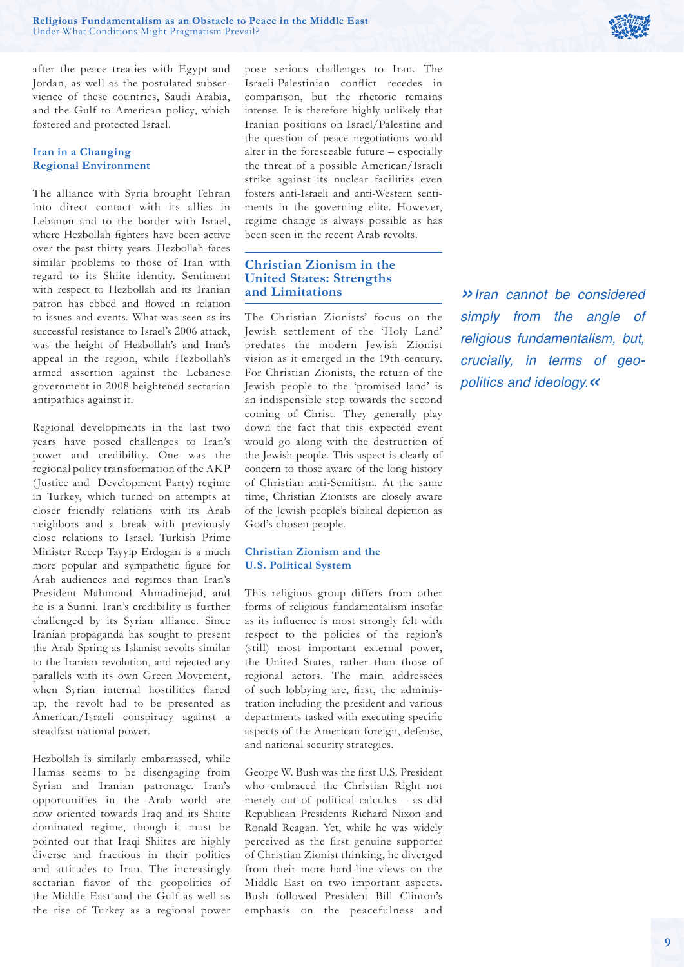

after the peace treaties with Egypt and Jordan, as well as the postulated subservience of these countries, Saudi Arabia, and the Gulf to American policy, which fostered and protected Israel.

# **Iran in a Changing Regional Environment**

The alliance with Syria brought Tehran into direct contact with its allies in Lebanon and to the border with Israel, where Hezbollah fighters have been active over the past thirty years. Hezbollah faces similar problems to those of Iran with regard to its Shiite identity. Sentiment with respect to Hezbollah and its Iranian patron has ebbed and flowed in relation to issues and events. What was seen as its successful resistance to Israel's 2006 attack, was the height of Hezbollah's and Iran's appeal in the region, while Hezbollah's armed assertion against the Lebanese government in 2008 heightened sectarian antipathies against it.

Regional developments in the last two years have posed challenges to Iran's power and credibility. One was the regional policy transformation of the AKP (Justice and Development Party) regime in Turkey, which turned on attempts at closer friendly relations with its Arab neighbors and a break with previously close relations to Israel. Turkish Prime Minister Recep Tayyip Erdogan is a much more popular and sympathetic figure for Arab audiences and regimes than Iran's President Mahmoud Ahmadinejad, and he is a Sunni. Iran's credibility is further challenged by its Syrian alliance. Since Iranian propaganda has sought to present the Arab Spring as Islamist revolts similar to the Iranian revolution, and rejected any parallels with its own Green Movement, when Syrian internal hostilities flared up, the revolt had to be presented as American/Israeli conspiracy against a steadfast national power.

Hezbollah is similarly embarrassed, while Hamas seems to be disengaging from Syrian and Iranian patronage. Iran's opportunities in the Arab world are now oriented towards Iraq and its Shiite dominated regime, though it must be pointed out that Iraqi Shiites are highly diverse and fractious in their politics and attitudes to Iran. The increasingly sectarian flavor of the geopolitics of the Middle East and the Gulf as well as the rise of Turkey as a regional power pose serious challenges to Iran. The Israeli-Palestinian conflict recedes in comparison, but the rhetoric remains intense. It is therefore highly unlikely that Iranian positions on Israel/Palestine and the question of peace negotiations would alter in the foreseeable future – especially the threat of a possible American/Israeli strike against its nuclear facilities even fosters anti-Israeli and anti-Western sentiments in the governing elite. However, regime change is always possible as has been seen in the recent Arab revolts.

## **Christian Zionism in the United States: Strengths and Limitations**

The Christian Zionists' focus on the Jewish settlement of the 'Holy Land' predates the modern Jewish Zionist vision as it emerged in the 19th century. For Christian Zionists, the return of the Jewish people to the 'promised land' is an indispensible step towards the second coming of Christ. They generally play down the fact that this expected event would go along with the destruction of the Jewish people. This aspect is clearly of concern to those aware of the long history of Christian anti-Semitism. At the same time, Christian Zionists are closely aware of the Jewish people's biblical depiction as God's chosen people.

#### **Christian Zionism and the U.S. Political System**

This religious group differs from other forms of religious fundamentalism insofar as its influence is most strongly felt with respect to the policies of the region's (still) most important external power, the United States, rather than those of regional actors. The main addressees of such lobbying are, first, the administration including the president and various departments tasked with executing specific aspects of the American foreign, defense, and national security strategies.

George W. Bush was the first U.S. President who embraced the Christian Right not merely out of political calculus – as did Republican Presidents Richard Nixon and Ronald Reagan. Yet, while he was widely perceived as the first genuine supporter of Christian Zionist thinking, he diverged from their more hard-line views on the Middle East on two important aspects. Bush followed President Bill Clinton's emphasis on the peacefulness and

*»Iran cannot be considered simply from the angle of religious fundamentalism, but, crucially, in terms of geopolitics and ideology*.*«*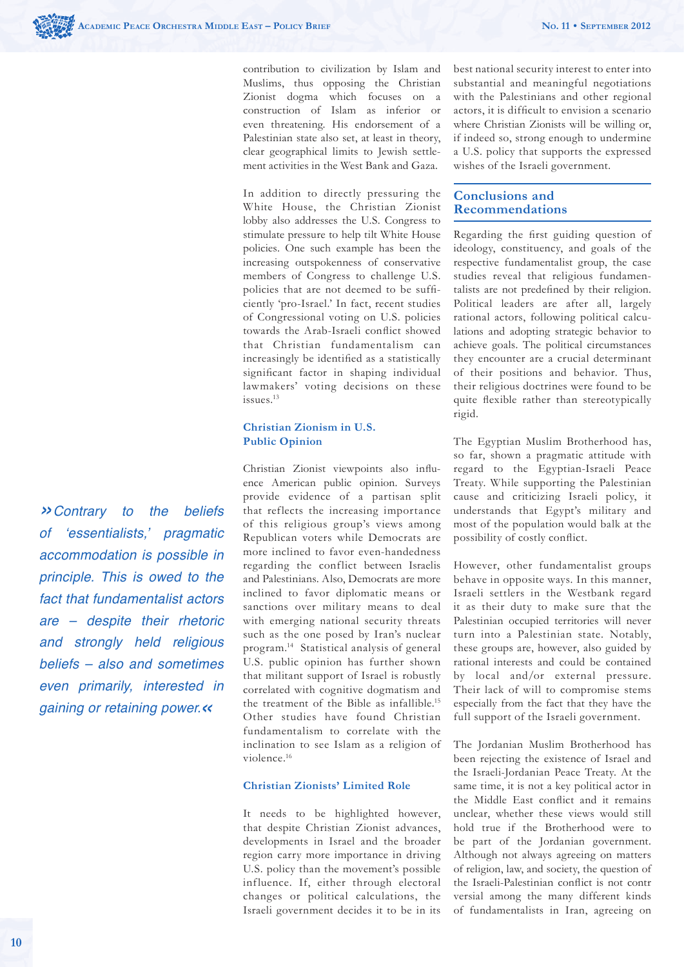contribution to civilization by Islam and Muslims, thus opposing the Christian Zionist dogma which focuses on a construction of Islam as inferior or even threatening. His endorsement of a Palestinian state also set, at least in theory, clear geographical limits to Jewish settlement activities in the West Bank and Gaza.

In addition to directly pressuring the White House, the Christian Zionist lobby also addresses the U.S. Congress to stimulate pressure to help tilt White House policies. One such example has been the increasing outspokenness of conservative members of Congress to challenge U.S. policies that are not deemed to be sufficiently 'pro-Israel.' In fact, recent studies of Congressional voting on U.S. policies towards the Arab-Israeli conflict showed that Christian fundamentalism can increasingly be identified as a statistically significant factor in shaping individual lawmakers' voting decisions on these issues.13

#### **Christian Zionism in U.S. Public Opinion**

Christian Zionist viewpoints also influence American public opinion. Surveys provide evidence of a partisan split that reflects the increasing importance of this religious group's views among Republican voters while Democrats are more inclined to favor even-handedness regarding the conflict between Israelis and Palestinians. Also, Democrats are more inclined to favor diplomatic means or sanctions over military means to deal with emerging national security threats such as the one posed by Iran's nuclear program.14 Statistical analysis of general U.S. public opinion has further shown that militant support of Israel is robustly correlated with cognitive dogmatism and the treatment of the Bible as infallible.15 Other studies have found Christian fundamentalism to correlate with the inclination to see Islam as a religion of violence.16

#### **Christian Zionists' Limited Role**

It needs to be highlighted however, that despite Christian Zionist advances, developments in Israel and the broader region carry more importance in driving U.S. policy than the movement's possible influence. If, either through electoral changes or political calculations, the Israeli government decides it to be in its best national security interest to enter into substantial and meaningful negotiations with the Palestinians and other regional actors, it is difficult to envision a scenario where Christian Zionists will be willing or, if indeed so, strong enough to undermine a U.S. policy that supports the expressed wishes of the Israeli government.

## **Conclusions and Recommendations**

Regarding the first guiding question of ideology, constituency, and goals of the respective fundamentalist group, the case studies reveal that religious fundamentalists are not predefined by their religion. Political leaders are after all, largely rational actors, following political calculations and adopting strategic behavior to achieve goals. The political circumstances they encounter are a crucial determinant of their positions and behavior. Thus, their religious doctrines were found to be quite flexible rather than stereotypically rigid.

The Egyptian Muslim Brotherhood has, so far, shown a pragmatic attitude with regard to the Egyptian-Israeli Peace Treaty. While supporting the Palestinian cause and criticizing Israeli policy, it understands that Egypt's military and most of the population would balk at the possibility of costly conflict.

However, other fundamentalist groups behave in opposite ways. In this manner, Israeli settlers in the Westbank regard it as their duty to make sure that the Palestinian occupied territories will never turn into a Palestinian state. Notably, these groups are, however, also guided by rational interests and could be contained by local and/or external pressure. Their lack of will to compromise stems especially from the fact that they have the full support of the Israeli government.

The Jordanian Muslim Brotherhood has been rejecting the existence of Israel and the Israeli-Jordanian Peace Treaty. At the same time, it is not a key political actor in the Middle East conflict and it remains unclear, whether these views would still hold true if the Brotherhood were to be part of the Jordanian government. Although not always agreeing on matters of religion, law, and society, the question of the Israeli-Palestinian conflict is not contr versial among the many different kinds of fundamentalists in Iran, agreeing on

*»Contrary to the beliefs*  of 'essentialists,' pragmatic *accommodation is possible in*  principle. This is owed to the *fact that fundamentalist actors are – despite their rhetoric and strongly held religious beliefs – also and sometimes even primarily, interested in gaining or retaining power*.*«*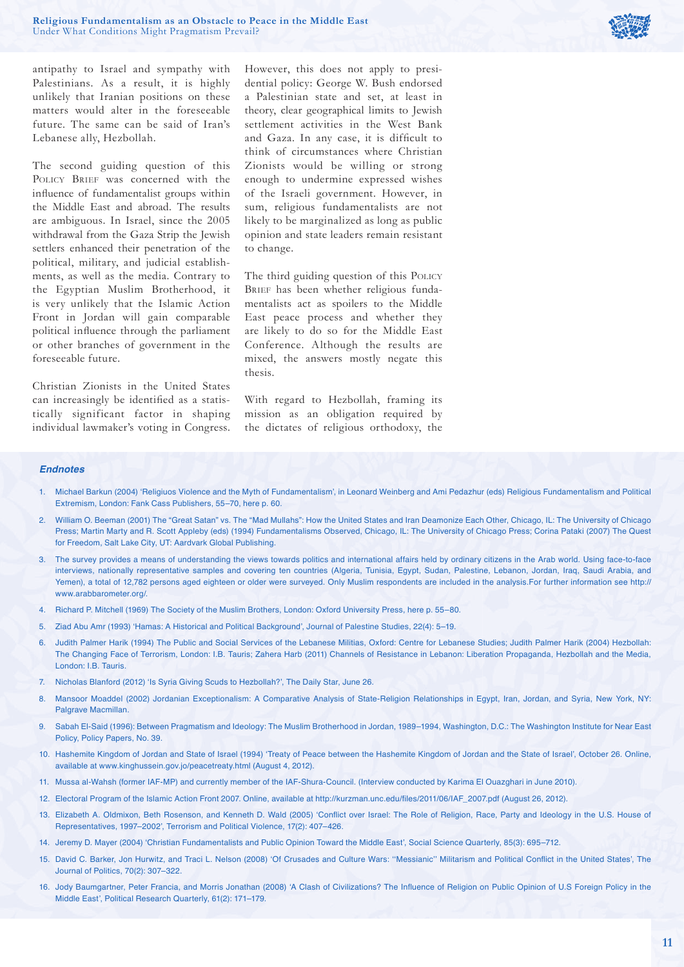

antipathy to Israel and sympathy with Palestinians. As a result, it is highly unlikely that Iranian positions on these matters would alter in the foreseeable future. The same can be said of Iran's Lebanese ally, Hezbollah.

The second guiding question of this POLICY BRIEF was concerned with the influence of fundamentalist groups within the Middle East and abroad. The results are ambiguous. In Israel, since the 2005 withdrawal from the Gaza Strip the Jewish settlers enhanced their penetration of the political, military, and judicial establishments, as well as the media. Contrary to the Egyptian Muslim Brotherhood, it is very unlikely that the Islamic Action Front in Jordan will gain comparable political influence through the parliament or other branches of government in the foreseeable future.

Christian Zionists in the United States can increasingly be identified as a statistically significant factor in shaping individual lawmaker's voting in Congress.

However, this does not apply to presidential policy: George W. Bush endorsed a Palestinian state and set, at least in theory, clear geographical limits to Jewish settlement activities in the West Bank and Gaza. In any case, it is difficult to think of circumstances where Christian Zionists would be willing or strong enough to undermine expressed wishes of the Israeli government. However, in sum, religious fundamentalists are not likely to be marginalized as long as public opinion and state leaders remain resistant to change.

The third guiding question of this POLICY BRIEF has been whether religious fundamentalists act as spoilers to the Middle East peace process and whether they are likely to do so for the Middle East Conference. Although the results are mixed, the answers mostly negate this thesis.

With regard to Hezbollah, framing its mission as an obligation required by the dictates of religious orthodoxy, the

#### *Endnotes*

- 1. Michael Barkun (2004) 'Religiuos Violence and the Myth of Fundamentalism', in Leonard Weinberg and Ami Pedazhur (eds) Religious Fundamentalism and Political Extremism, London: Fank Cass Publishers, 55–70, here p. 60.
- 2. William O. Beeman (2001) The "Great Satan" vs. The "Mad Mullahs": How the United States and Iran Deamonize Each Other, Chicago, IL: The University of Chicago Press; Martin Marty and R. Scott Appleby (eds) (1994) Fundamentalisms Observed, Chicago, IL: The University of Chicago Press; Corina Pataki (2007) The Quest for Freedom, Salt Lake City, UT: Aardvark Global Publishing.
- 3. The survey provides a means of understanding the views towards politics and international affairs held by ordinary citizens in the Arab world. Using face-to-face interviews, nationally representative samples and covering ten countries (Algeria, Tunisia, Egypt, Sudan, Palestine, Lebanon, Jordan, Iraq, Saudi Arabia, and Yemen), a total of 12,782 persons aged eighteen or older were surveyed. Only Muslim respondents are included in the analysis.For further information see http:// www.arabbarometer.org/.
- 4. Richard P. Mitchell (1969) The Society of the Muslim Brothers, London: Oxford University Press, here p. 55–80.
- 5. Ziad Abu Amr (1993) 'Hamas: A Historical and Political Background', Journal of Palestine Studies, 22(4): 5–19.
- 6. Judith Palmer Harik (1994) The Public and Social Services of the Lebanese Militias, Oxford: Centre for Lebanese Studies; Judith Palmer Harik (2004) Hezbollah: The Changing Face of Terrorism, London: I.B. Tauris; Zahera Harb (2011) Channels of Resistance in Lebanon: Liberation Propaganda, Hezbollah and the Media, London: I.B. Tauris.
- 7. Nicholas Blanford (2012) 'Is Syria Giving Scuds to Hezbollah?', The Daily Star, June 26.
- 8. Mansoor Moaddel (2002) Jordanian Exceptionalism: A Comparative Analysis of State-Religion Relationships in Egypt, Iran, Jordan, and Syria, New York, NY: Palgrave Macmillan.
- 9. Sabah El-Said (1996): Between Pragmatism and Ideology: The Muslim Brotherhood in Jordan, 1989–1994, Washington, D.C.: The Washington Institute for Near East Policy, Policy Papers, No. 39.
- 10. Hashemite Kingdom of Jordan and State of Israel (1994) 'Treaty of Peace between the Hashemite Kingdom of Jordan and the State of Israel', October 26. Online, available at www.kinghussein.gov.jo/peacetreaty.html (August 4, 2012).
- 11. Mussa al-Wahsh (former IAF-MP) and currently member of the IAF-Shura-Council. (Interview conducted by Karima El Ouazghari in June 2010).
- 12. Electoral Program of the Islamic Action Front 2007. Online, available at http://kurzman.unc.edu/fi les/2011/06/IAF\_2007.pdf (August 26, 2012).
- 13. Elizabeth A. Oldmixon, Beth Rosenson, and Kenneth D. Wald (2005) 'Conflict over Israel: The Role of Religion, Race, Party and Ideology in the U.S. House of Representatives, 1997–2002', Terrorism and Political Violence, 17(2): 407–426.
- 14. Jeremy D. Mayer (2004) 'Christian Fundamentalists and Public Opinion Toward the Middle East', Social Science Quarterly, 85(3): 695–712.
- 15. David C. Barker, Jon Hurwitz, and Traci L. Nelson (2008) 'Of Crusades and Culture Wars: "Messianic" Militarism and Political Conflict in the United States', The Journal of Politics, 70(2): 307–322.
- 16. Jody Baumgartner, Peter Francia, and Morris Jonathan (2008) 'A Clash of Civilizations? The Influence of Religion on Public Opinion of U.S Foreign Policy in the Middle East', Political Research Quarterly, 61(2): 171–179.